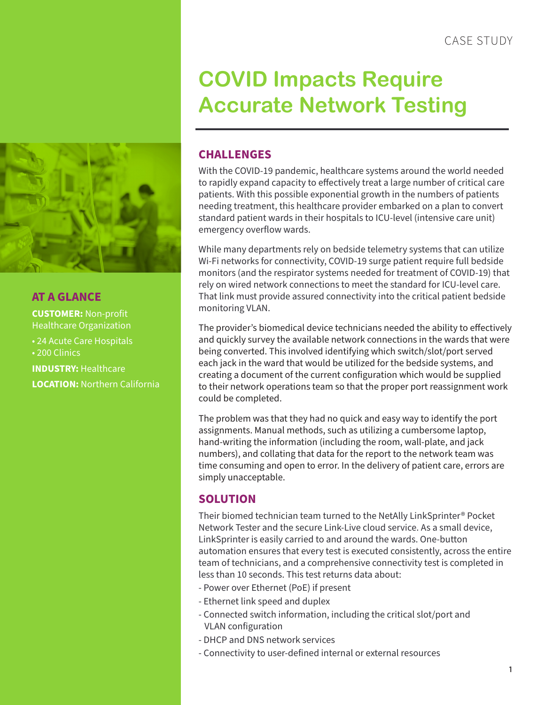

## **AT A GLANCE CUSTOMER:** Non-profit Healthcare Organization • 24 Acute Care Hospitals • 200 Clinics **INDUSTRY:** Healthcare **LOCATION:** Northern California

# **COVID Impacts Require Accurate Network Testing**

### **CHALLENGES**

With the COVID-19 pandemic, healthcare systems around the world needed to rapidly expand capacity to effectively treat a large number of critical care patients. With this possible exponential growth in the numbers of patients needing treatment, this healthcare provider embarked on a plan to convert standard patient wards in their hospitals to ICU-level (intensive care unit) emergency overflow wards.

While many departments rely on bedside telemetry systems that can utilize Wi-Fi networks for connectivity, COVID-19 surge patient require full bedside monitors (and the respirator systems needed for treatment of COVID-19) that rely on wired network connections to meet the standard for ICU-level care. That link must provide assured connectivity into the critical patient bedside monitoring VLAN.

The provider's biomedical device technicians needed the ability to effectively and quickly survey the available network connections in the wards that were being converted. This involved identifying which switch/slot/port served each jack in the ward that would be utilized for the bedside systems, and creating a document of the current configuration which would be supplied to their network operations team so that the proper port reassignment work could be completed.

The problem was that they had no quick and easy way to identify the port assignments. Manual methods, such as utilizing a cumbersome laptop, hand-writing the information (including the room, wall-plate, and jack numbers), and collating that data for the report to the network team was time consuming and open to error. In the delivery of patient care, errors are simply unacceptable.

## **SOLUTION**

Their biomed technician team turned to the NetAlly LinkSprinter® Pocket Network Tester and the secure Link-Live cloud service. As a small device, LinkSprinter is easily carried to and around the wards. One-button automation ensures that every test is executed consistently, across the entire team of technicians, and a comprehensive connectivity test is completed in less than 10 seconds. This test returns data about:

- Power over Ethernet (PoE) if present
- Ethernet link speed and duplex
- Connected switch information, including the critical slot/port and VLAN configuration
- DHCP and DNS network services
- Connectivity to user-defined internal or external resources